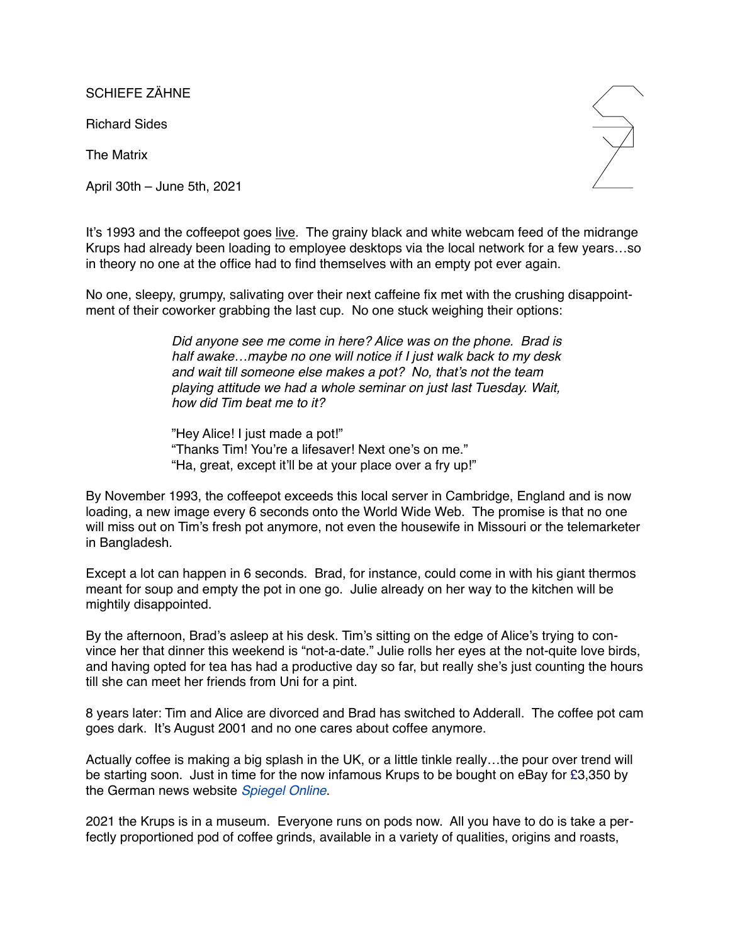SCHIEFE ZÄHNE

Richard Sides

The Matrix

April 30th – June 5th, 2021



It's 1993 and the coffeepot goes [live.](https://en.wikipedia.org/wiki/Trojan_Room_coffee_pot) The grainy black and white webcam feed of the midrange Krups had already been loading to employee desktops via the local network for a few years…so in theory no one at the office had to find themselves with an empty pot ever again.

No one, sleepy, grumpy, salivating over their next caffeine fix met with the crushing disappointment of their coworker grabbing the last cup. No one stuck weighing their options:

> *Did anyone see me come in here? Alice was on the phone. Brad is half awake…maybe no one will notice if I just walk back to my desk and wait till someone else makes a pot? No, that's not the team playing attitude we had a whole seminar on just last Tuesday. Wait, how did Tim beat me to it?*

"Hey Alice! I just made a pot!" "Thanks Tim! You're a lifesaver! Next one's on me." "Ha, great, except it'll be at your place over a fry up!"

By November 1993, the coffeepot exceeds this local server in Cambridge, England and is now loading, a new image every 6 seconds onto the World Wide Web. The promise is that no one will miss out on Tim's fresh pot anymore, not even the housewife in Missouri or the telemarketer in Bangladesh.

Except a lot can happen in 6 seconds. Brad, for instance, could come in with his giant thermos meant for soup and empty the pot in one go. Julie already on her way to the kitchen will be mightily disappointed.

By the afternoon, Brad's asleep at his desk. Tim's sitting on the edge of Alice's trying to convince her that dinner this weekend is "not-a-date." Julie rolls her eyes at the not-quite love birds, and having opted for tea has had a productive day so far, but really she's just counting the hours till she can meet her friends from Uni for a pint.

8 years later: Tim and Alice are divorced and Brad has switched to Adderall. The coffee pot cam goes dark. It's August 2001 and no one cares about coffee anymore.

Actually coffee is making a big splash in the UK, or a little tinkle really…the pour over trend will be starting soon. Just in time for the now infamous Krups to be bought on eBay for [£3](https://en.wikipedia.org/wiki/Pound_Sterling),350 by the German news website *[Spiegel Online](https://en.wikipedia.org/wiki/Spiegel_Online)*.

2021 the Krups is in a museum. Everyone runs on pods now. All you have to do is take a perfectly proportioned pod of coffee grinds, available in a variety of qualities, origins and roasts,